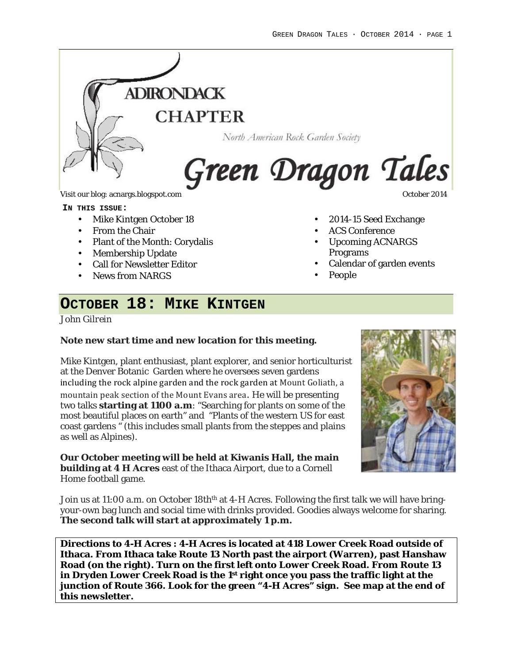

Visit our blog: acnargs.blogspot.com **October 2014** Constantine Constantine Constantine Constantine Constantine Constantine Constantine Constantine Constantine Constantine Constantine Constantine Constantine Constantine Co

**IN THIS ISSUE:**

- Mike Kintgen October 18
- From the Chair
- Plant of the Month: Corydalis
- Membership Update
- Call for Newsletter Editor
- News from NARGS

- 2014-15 Seed Exchange
- ACS Conference
- Upcoming ACNARGS Programs
- Calendar of garden events
- People

## **OCTOBER 18: MIKE KINTGEN**

*John Gilrein*

**Note new start time and new location for this meeting.**

Mike Kintgen, plant enthusiast, plant explorer, and senior horticulturist at the Denver Botanic Garden where he oversees seven gardens including the rock alpine garden and the rock garden at Mount Goliath, a mountain peak section of the Mount Evans area. He will be presenting two talks **starting at 1100 a.m**: "Searching for plants on some of the most beautiful places on earth" and "Plants of the western US for east coast gardens " (this includes small plants from the steppes and plains as well as Alpines).

**Our October meeting will be held at Kiwanis Hall, the main building at 4 H Acres** east of the Ithaca Airport, due to a Cornell Home football game.



Join us at 11:00 a.m. on October 18th<sup>th</sup> at 4-H Acres. Following the first talk we will have bringyour-own bag lunch and social time with drinks provided. Goodies always welcome for sharing. **The second talk will start at approximately 1 p.m.**

**Directions to 4-H Acres : 4-H Acres is located at 418 Lower Creek Road outside of Ithaca. From Ithaca take Route 13 North past the airport (Warren), past Hanshaw Road (on the right). Turn on the first left onto Lower Creek Road. From Route 13 in Dryden Lower Creek Road is the 1st right once you pass the traffic light at the junction of Route 366. Look for the green "4-H Acres" sign. See map at the end of this newsletter.**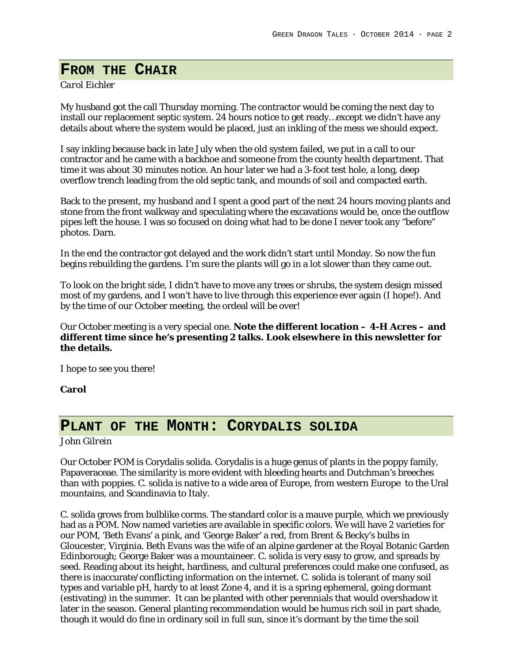## **FROM THE CHAIR**

#### *Carol Eichler*

My husband got the call Thursday morning. The contractor would be coming the next day to install our replacement septic system. 24 hours notice to get ready…except we didn't have any details about where the system would be placed, just an inkling of the mess we should expect.

I say inkling because back in late July when the old system failed, we put in a call to our contractor and he came with a backhoe and someone from the county health department. That time it was about 30 minutes notice. An hour later we had a 3-foot test hole, a long, deep overflow trench leading from the old septic tank, and mounds of soil and compacted earth.

Back to the present, my husband and I spent a good part of the next 24 hours moving plants and stone from the front walkway and speculating where the excavations would be, once the outflow pipes left the house. I was so focused on doing what had to be done I never took any "before" photos. Darn.

In the end the contractor got delayed and the work didn't start until Monday. So now the fun begins rebuilding the gardens. I'm sure the plants will go in a lot slower than they came out.

To look on the bright side, I didn't have to move any trees or shrubs, the system design missed most of my gardens, and I won't have to live through this experience ever again (I hope!). And by the time of our October meeting, the ordeal will be over!

Our October meeting is a very special one. **Note the different location – 4-H Acres – and different time since he's presenting 2 talks. Look elsewhere in this newsletter for the details.**

I hope to see you there!

**Carol**

## **PLANT OF THE MONTH: CORYDALIS SOLIDA**

*John Gilrein*

Our October POM is Corydalis solida. Corydalis is a huge genus of plants in the poppy family, Papaveraceae. The similarity is more evident with bleeding hearts and Dutchman's breeches than with poppies. C. solida is native to a wide area of Europe, from western Europe to the Ural mountains, and Scandinavia to Italy.

C. solida grows from bulblike corms. The standard color is a mauve purple, which we previously had as a POM. Now named varieties are available in specific colors. We will have 2 varieties for our POM, 'Beth Evans' a pink, and 'George Baker' a red, from Brent & Becky's bulbs in Gloucester, Virginia. Beth Evans was the wife of an alpine gardener at the Royal Botanic Garden Edinborough; George Baker was a mountaineer. C. solida is very easy to grow, and spreads by seed. Reading about its height, hardiness, and cultural preferences could make one confused, as there is inaccurate/conflicting information on the internet. C. solida is tolerant of many soil types and variable pH, hardy to at least Zone 4, and it is a spring ephemeral, going dormant (estivating) in the summer. It can be planted with other perennials that would overshadow it later in the season. General planting recommendation would be humus rich soil in part shade, though it would do fine in ordinary soil in full sun, since it's dormant by the time the soil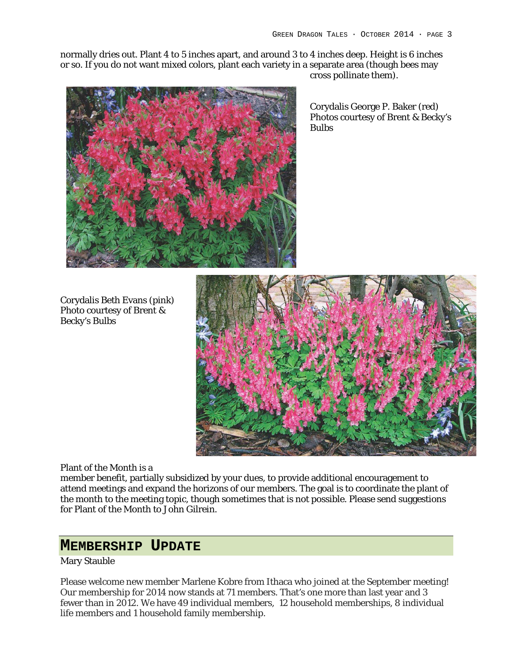normally dries out. Plant 4 to 5 inches apart, and around 3 to 4 inches deep. Height is 6 inches or so. If you do not want mixed colors, plant each variety in a separate area (though bees may cross pollinate them).



Corydalis George P. Baker (red) Photos courtesy of Brent & Becky's Bulbs

Corydalis Beth Evans (pink) Photo courtesy of Brent & Becky's Bulbs



Plant of the Month is a

member benefit, partially subsidized by your dues, to provide additional encouragement to attend meetings and expand the horizons of our members. The goal is to coordinate the plant of the month to the meeting topic, though sometimes that is not possible. Please send suggestions for Plant of the Month to John Gilrein.

### **MEMBERSHIP UPDATE**

#### Mary Stauble

Please welcome new member Marlene Kobre from Ithaca who joined at the September meeting! Our membership for 2014 now stands at 71 members. That's one more than last year and 3 fewer than in 2012. We have 49 individual members, 12 household memberships, 8 individual life members and 1 household family membership.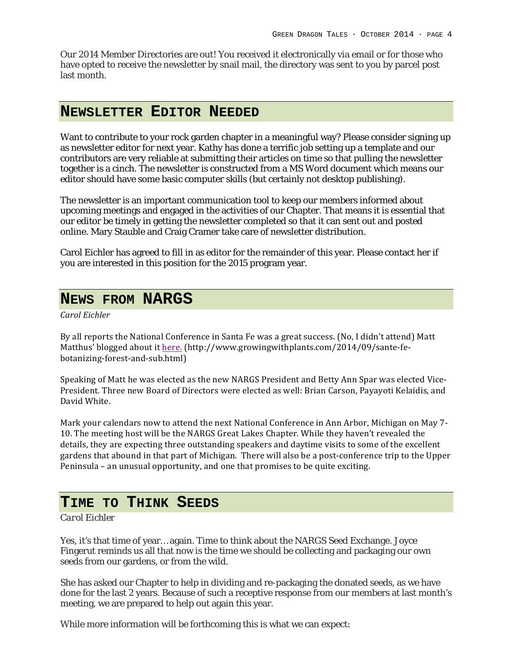Our 2014 Member Directories are out! You received it electronically via email or for those who have opted to receive the newsletter by snail mail, the directory was sent to you by parcel post last month.

## **NEWSLETTER EDITOR NEEDED**

Want to contribute to your rock garden chapter in a meaningful way? Please consider signing up as newsletter editor for next year. Kathy has done a terrific job setting up a template and our contributors are very reliable at submitting their articles on time so that pulling the newsletter together is a cinch. The newsletter is constructed from a MS Word document which means our editor should have some basic computer skills (but certainly not desktop publishing).

The newsletter is an important communication tool to keep our members informed about upcoming meetings and engaged in the activities of our Chapter. That means it is essential that our editor be timely in getting the newsletter completed so that it can sent out and posted online. Mary Stauble and Craig Cramer take care of newsletter distribution.

Carol Eichler has agreed to fill in as editor for the remainder of this year. Please contact her if you are interested in this position for the 2015 program year.

## **NEWS FROM NARGS**

*Carol Eichler*

By all reports the National Conference in Santa Fe was a great success. (No, I didn't attend) Matt Matthus' blogged about it here. (http://www.growingwithplants.com/2014/09/sante-febotanizing-forest-and-sub.html)

Speaking of Matt he was elected as the new NARGS President and Betty Ann Spar was elected Vice-President. Three new Board of Directors were elected as well: Brian Carson, Payayoti Kelaidis, and David White.

Mark your calendars now to attend the next National Conference in Ann Arbor, Michigan on May 7-10. The meeting host will be the NARGS Great Lakes Chapter. While they haven't revealed the details, they are expecting three outstanding speakers and daytime visits to some of the excellent gardens that abound in that part of Michigan. There will also be a post-conference trip to the Upper Peninsula – an unusual opportunity, and one that promises to be quite exciting.

## **TIME TO THINK SEEDS**

#### *Carol Eichler*

Yes, it's that time of year… again. Time to think about the NARGS Seed Exchange. Joyce Fingerut reminds us all that now is the time we should be collecting and packaging our own seeds from our gardens, or from the wild.

She has asked our Chapter to help in dividing and re-packaging the donated seeds, as we have done for the last 2 years. Because of such a receptive response from our members at last month's meeting, we are prepared to help out again this year.

While more information will be forthcoming this is what we can expect: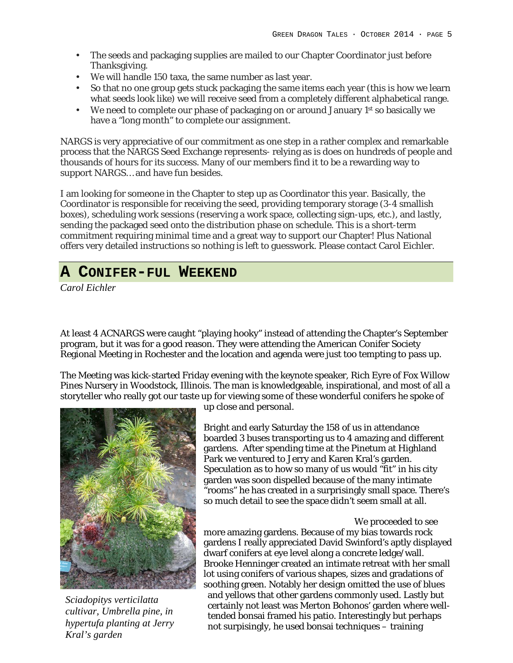- The seeds and packaging supplies are mailed to our Chapter Coordinator just before Thanksgiving.
- We will handle 150 taxa, the same number as last year.
- So that no one group gets stuck packaging the same items each year (this is how we learn what seeds look like) we will receive seed from a completely different alphabetical range.
- We need to complete our phase of packaging on or around January 1<sup>st</sup> so basically we have a "long month" to complete our assignment.

NARGS is very appreciative of our commitment as one step in a rather complex and remarkable process that the NARGS Seed Exchange represents- relying as is does on hundreds of people and thousands of hours for its success. Many of our members find it to be a rewarding way to support NARGS… and have fun besides.

I am looking for someone in the Chapter to step up as Coordinator this year. Basically, the Coordinator is responsible for receiving the seed, providing temporary storage (3-4 smallish boxes), scheduling work sessions (reserving a work space, collecting sign-ups, etc.), and lastly, sending the packaged seed onto the distribution phase on schedule. This is a short-term commitment requiring minimal time and a great way to support our Chapter! Plus National offers very detailed instructions so nothing is left to guesswork. Please contact Carol Eichler.

# **A CONIFER-FUL WEEKEND**

*Carol Eichler*

At least 4 ACNARGS were caught "playing hooky" instead of attending the Chapter's September program, but it was for a good reason. They were attending the American Conifer Society Regional Meeting in Rochester and the location and agenda were just too tempting to pass up.

The Meeting was kick-started Friday evening with the keynote speaker, Rich Eyre of Fox Willow Pines Nursery in Woodstock, Illinois. The man is knowledgeable, inspirational, and most of all a storyteller who really got our taste up for viewing some of these wonderful conifers he spoke of



*Sciadopitys verticilatta cultivar, Umbrella pine, in hypertufa planting at Jerry Kral's garden*

up close and personal.

Bright and early Saturday the 158 of us in attendance boarded 3 buses transporting us to 4 amazing and different gardens. After spending time at the Pinetum at Highland Park we ventured to Jerry and Karen Kral's garden. Speculation as to how so many of us would "fit" in his city garden was soon dispelled because of the many intimate "rooms" he has created in a surprisingly small space. There's so much detail to see the space didn't seem small at all.

#### We proceeded to see

more amazing gardens. Because of my bias towards rock gardens I really appreciated David Swinford's aptly displayed dwarf conifers at eye level along a concrete ledge/wall. Brooke Henninger created an intimate retreat with her small lot using conifers of various shapes, sizes and gradations of soothing green. Notably her design omitted the use of blues and yellows that other gardens commonly used. Lastly but certainly not least was Merton Bohonos' garden where welltended bonsai framed his patio. Interestingly but perhaps not surpisingly, he used bonsai techniques – training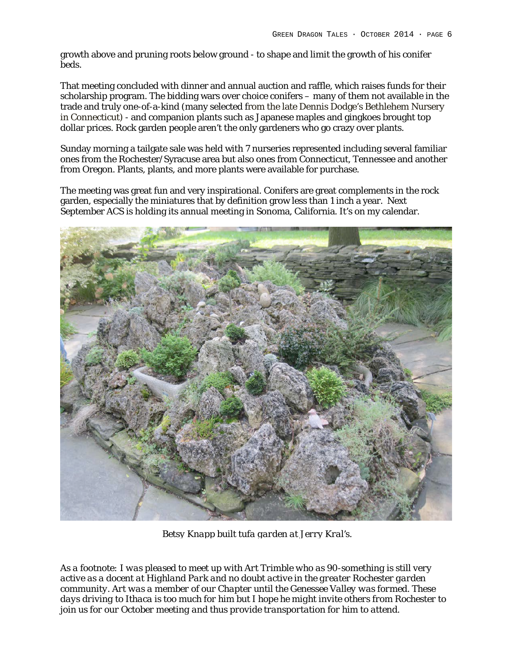growth above and pruning roots below ground - to shape and limit the growth of his conifer beds.

That meeting concluded with dinner and annual auction and raffle, which raises funds for their scholarship program. The bidding wars over choice conifers – many of them not available in the trade and truly one-of-a-kind (many selected from the late Dennis Dodge's Bethlehem Nursery in Connecticut) - and companion plants such as Japanese maples and gingkoes brought top dollar prices. Rock garden people aren't the only gardeners who go crazy over plants.

Sunday morning a tailgate sale was held with 7 nurseries represented including several familiar ones from the Rochester/Syracuse area but also ones from Connecticut, Tennessee and another from Oregon. Plants, plants, and more plants were available for purchase.

The meeting was great fun and very inspirational. Conifers are great complements in the rock garden, especially the miniatures that by definition grow less than 1 inch a year. Next September ACS is holding its annual meeting in Sonoma, California. It's on my calendar.



*Betsy Knapp built tufa garden at Jerry Kral's.*

*As a footnote: I was pleased to meet up with Art Trimble who as 90-something is still very active as a docent at Highland Park and no doubt active in the greater Rochester garden community. Art was a member of our Chapter until the Genessee Valley was formed. These days driving to Ithaca is too much for him but I hope he might invite others from Rochester to join us for our October meeting and thus provide transportation for him to attend.*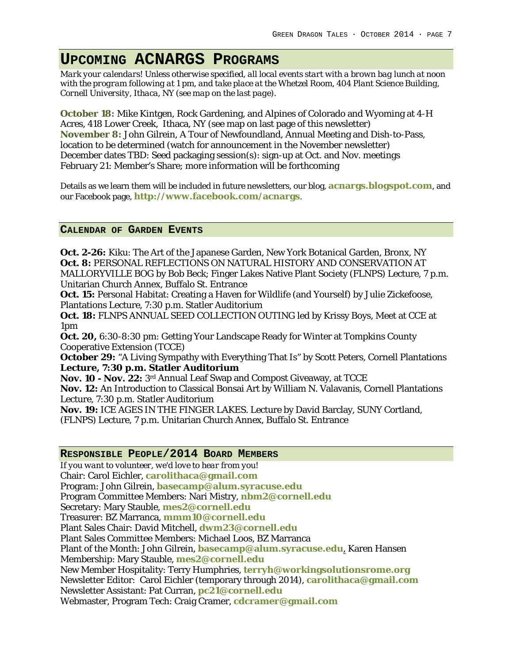# **UPCOMING ACNARGS PROGRAMS**

*Mark your calendars! Unless otherwise specified, all local events start with a brown bag lunch at noon with the program following at 1 pm, and take place at the Whetzel Room, 404 Plant Science Building, Cornell University, Ithaca, NY (see map on the last page).*

**October 18:** Mike Kintgen, Rock Gardening, and Alpines of Colorado and Wyoming at 4-H Acres, 418 Lower Creek, Ithaca, NY (see map on last page of this newsletter) **November 8:** John Gilrein, A Tour of Newfoundland, Annual Meeting and Dish-to-Pass, location to be determined (watch for announcement in the November newsletter) December dates TBD: Seed packaging session(s): sign-up at Oct. and Nov. meetings February 21: Member's Share; more information will be forthcoming

Details as we learn them will be included in future newsletters, our blog, **acnargs.blogspot.com**, and our Facebook page, **http://www.facebook.com/acnargs**.

#### **CALENDAR OF GARDEN EVENTS**

**Oct. 2-26:** Kiku: The Art of the Japanese Garden, New York Botanical Garden, Bronx, NY **Oct. 8:** PERSONAL REFLECTIONS ON NATURAL HISTORY AND CONSERVATION AT MALLORYVILLE BOG by Bob Beck; Finger Lakes Native Plant Society (FLNPS) Lecture, 7 p.m. Unitarian Church Annex, Buffalo St. Entrance

**Oct. 15:** Personal Habitat: Creating a Haven for Wildlife (and Yourself) by Julie Zickefoose, Plantations Lecture, 7:30 p.m. Statler Auditorium

**Oct. 18:** FLNPS ANNUAL SEED COLLECTION OUTING led by Krissy Boys, Meet at CCE at 1pm

**Oct. 20,** 6:30-8:30 pm: Getting Your Landscape Ready for Winter at Tompkins County Cooperative Extension (TCCE)

**October 29:** "A Living Sympathy with Everything That Is" by Scott Peters, Cornell Plantations **Lecture, 7:30 p.m. Statler Auditorium**

**Nov. 10 - Nov. 22:** 3rd Annual Leaf Swap and Compost Giveaway, at TCCE

**Nov. 12:** An Introduction to Classical Bonsai Art by William N. Valavanis, Cornell Plantations Lecture, 7:30 p.m. Statler Auditorium

**Nov. 19:** ICE AGES IN THE FINGER LAKES. Lecture by David Barclay, SUNY Cortland,

(FLNPS) Lecture, 7 p.m. Unitarian Church Annex, Buffalo St. Entrance

#### **RESPONSIBLE PEOPLE/2014 BOARD MEMBERS**

*If you want to volunteer, we'd love to hear from you!* Chair: Carol Eichler, **carolithaca@gmail.com** Program: John Gilrein, **basecamp@alum.syracuse.edu** Program Committee Members: Nari Mistry, **nbm2@cornell.edu** Secretary: Mary Stauble, **mes2@cornell.edu** Treasurer: BZ Marranca, **mmm10@cornell.edu** Plant Sales Chair: David Mitchell, **dwm23@cornell.edu** Plant Sales Committee Members: Michael Loos, BZ Marranca Plant of the Month: John Gilrein, **basecamp@alum.syracuse.edu**, Karen Hansen Membership: Mary Stauble, **mes2@cornell.edu** New Member Hospitality: Terry Humphries, **terryh@workingsolutionsrome.org** Newsletter Editor: Carol Eichler (temporary through 2014), **carolithaca@gmail.com** Newsletter Assistant: Pat Curran, **pc21@cornell.edu** Webmaster, Program Tech: Craig Cramer, **cdcramer@gmail.com**